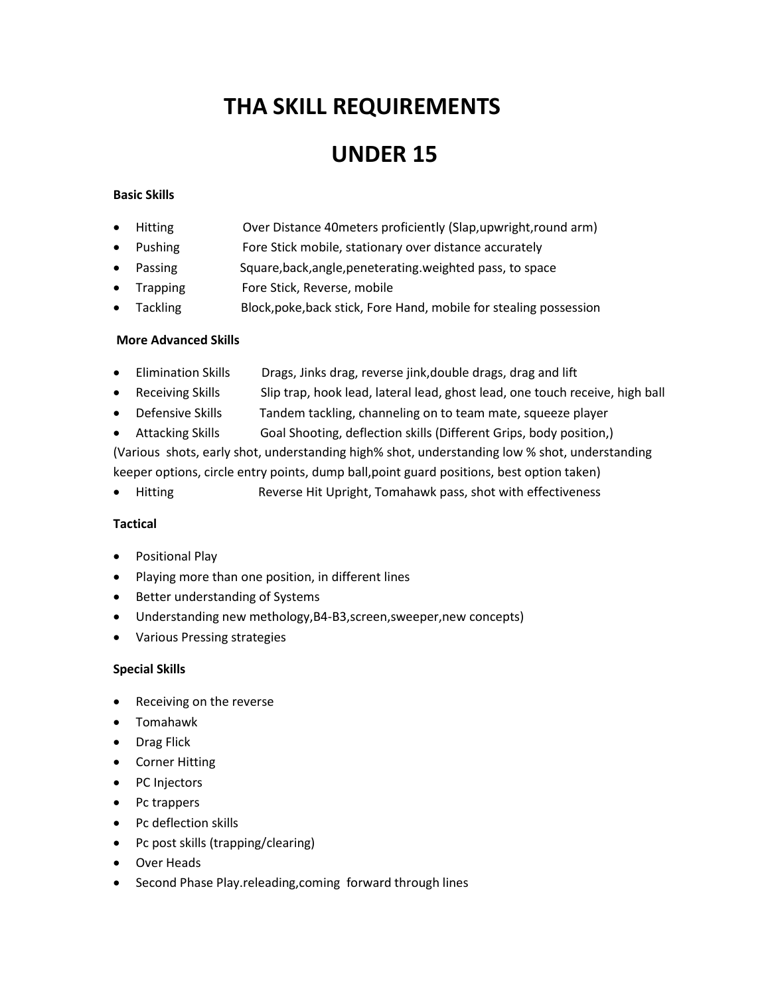# **THA SKILL REQUIREMENTS**

## **UNDER 15**

#### **Basic Skills**

- Hitting Over Distance 40meters proficiently (Slap,upwright,round arm)
- Pushing Fore Stick mobile, stationary over distance accurately
- Passing Square,back,angle,peneterating.weighted pass, to space
- Trapping Fore Stick, Reverse, mobile
- Tackling Block,poke,back stick, Fore Hand, mobile for stealing possession

#### **More Advanced Skills**

- Elimination Skills Drags, Jinks drag, reverse jink,double drags, drag and lift
- Receiving Skills Slip trap, hook lead, lateral lead, ghost lead, one touch receive, high ball
- Defensive Skills Tandem tackling, channeling on to team mate, squeeze player
- Attacking Skills Goal Shooting, deflection skills (Different Grips, body position,)

(Various shots, early shot, understanding high% shot, understanding low % shot, understanding keeper options, circle entry points, dump ball,point guard positions, best option taken)

• Hitting Reverse Hit Upright, Tomahawk pass, shot with effectiveness

#### **Tactical**

- **•** Positional Play
- Playing more than one position, in different lines
- Better understanding of Systems
- Understanding new methology,B4-B3,screen,sweeper,new concepts)
- Various Pressing strategies

#### **Special Skills**

- Receiving on the reverse
- Tomahawk
- Drag Flick
- Corner Hitting
- PC Injectors
- Pc trappers
- Pc deflection skills
- Pc post skills (trapping/clearing)
- Over Heads
- Second Phase Play.releading, coming forward through lines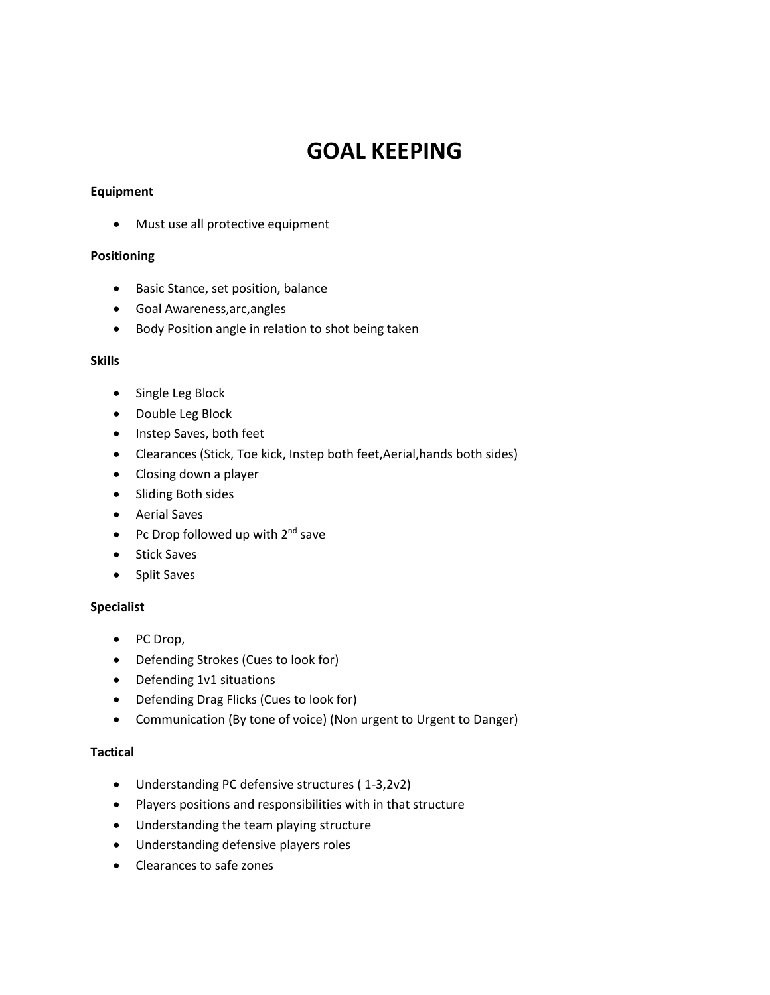## **GOAL KEEPING**

#### **Equipment**

Must use all protective equipment

## **Positioning**

- Basic Stance, set position, balance
- Goal Awareness,arc,angles
- Body Position angle in relation to shot being taken

#### **Skills**

- Single Leg Block
- Double Leg Block
- Instep Saves, both feet
- Clearances (Stick, Toe kick, Instep both feet,Aerial,hands both sides)
- Closing down a player
- Sliding Both sides
- Aerial Saves
- Pc Drop followed up with  $2^{nd}$  save
- Stick Saves
- Split Saves

## **Specialist**

- PC Drop,
- Defending Strokes (Cues to look for)
- Defending 1v1 situations
- Defending Drag Flicks (Cues to look for)
- Communication (By tone of voice) (Non urgent to Urgent to Danger)

## **Tactical**

- Understanding PC defensive structures ( 1-3,2v2)
- Players positions and responsibilities with in that structure
- Understanding the team playing structure
- Understanding defensive players roles
- Clearances to safe zones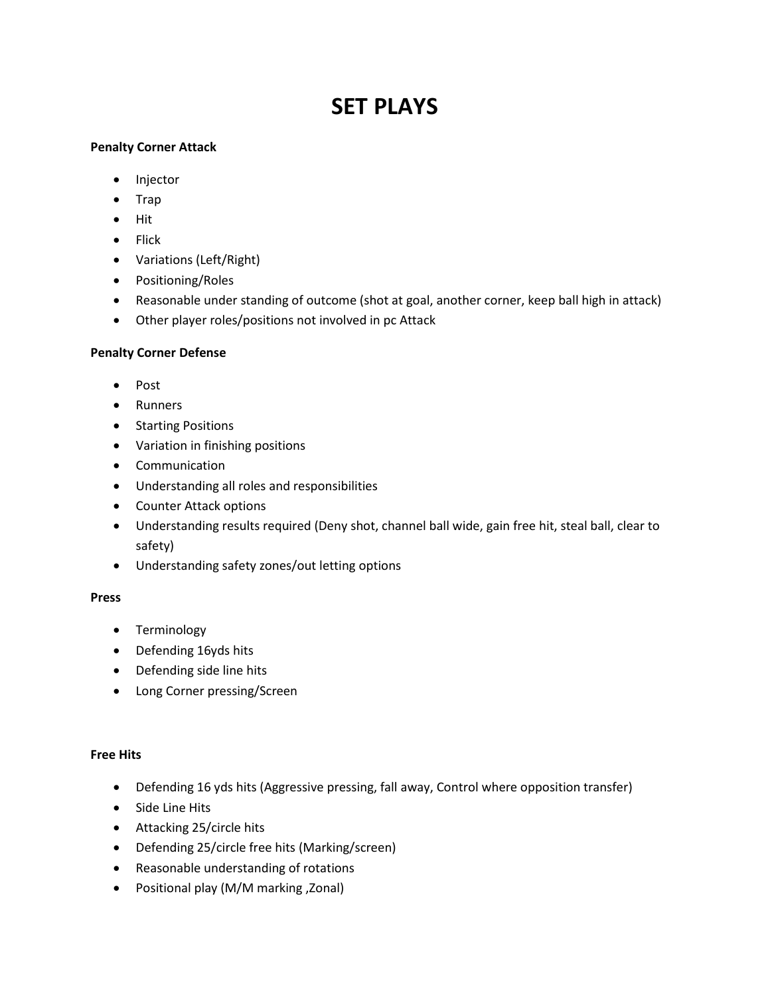# **SET PLAYS**

## **Penalty Corner Attack**

- Injector
- Trap
- $\bullet$  Hit
- $\bullet$  Flick
- Variations (Left/Right)
- Positioning/Roles
- Reasonable under standing of outcome (shot at goal, another corner, keep ball high in attack)
- Other player roles/positions not involved in pc Attack

## **Penalty Corner Defense**

- Post
- Runners
- Starting Positions
- Variation in finishing positions
- Communication
- Understanding all roles and responsibilities
- Counter Attack options
- Understanding results required (Deny shot, channel ball wide, gain free hit, steal ball, clear to safety)
- Understanding safety zones/out letting options

#### **Press**

- Terminology
- Defending 16yds hits
- Defending side line hits
- Long Corner pressing/Screen

#### **Free Hits**

- Defending 16 yds hits (Aggressive pressing, fall away, Control where opposition transfer)
- Side Line Hits
- Attacking 25/circle hits
- Defending 25/circle free hits (Marking/screen)
- Reasonable understanding of rotations
- Positional play (M/M marking ,Zonal)